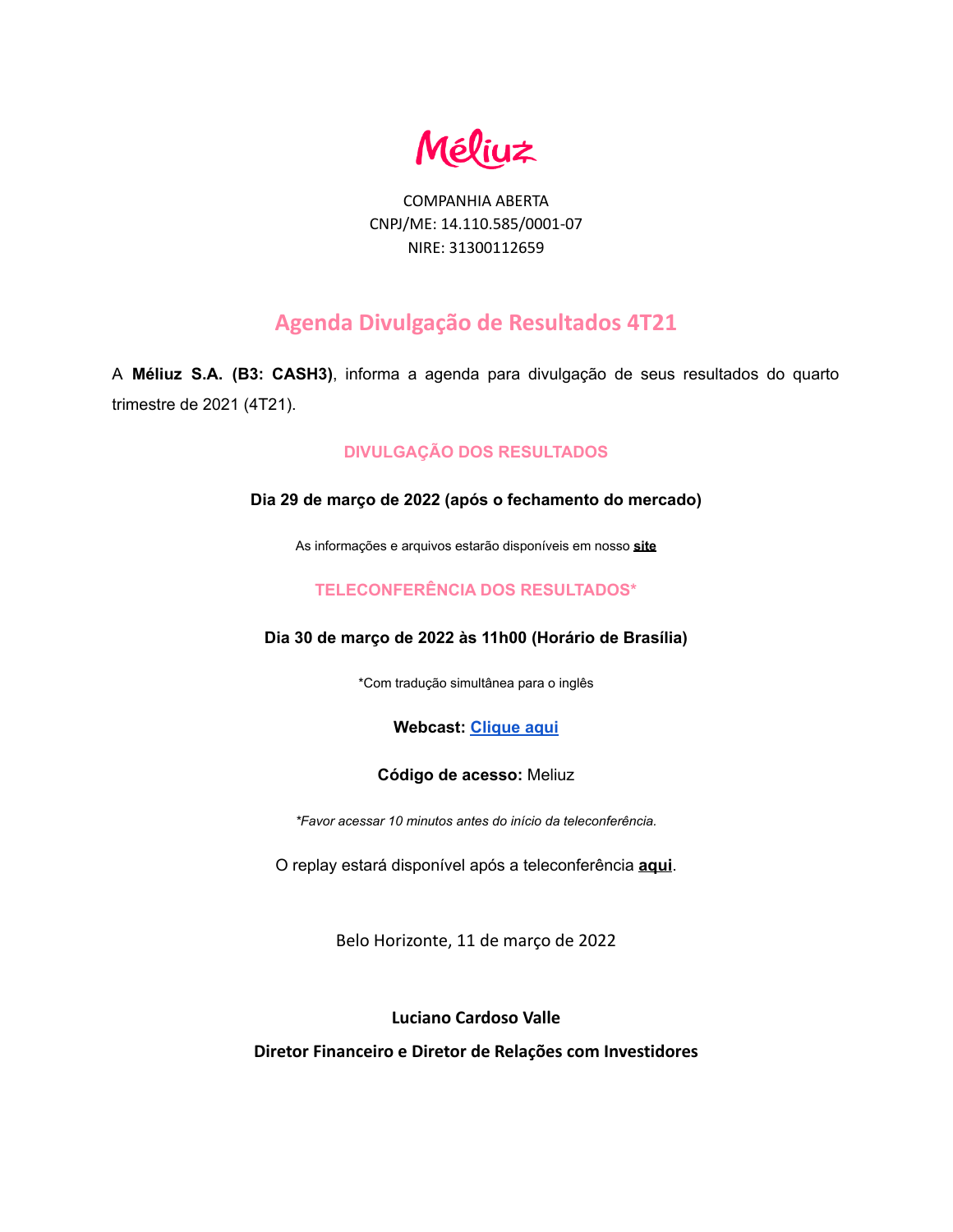**Méliuz** 

COMPANHIA ABERTA CNPJ/ME: 14.110.585/0001-07 NIRE: 31300112659

# **Agenda Divulgação de Resultados 4T21**

A **Méliuz S.A. (B3: CASH3)**, informa a agenda para divulgação de seus resultados do quarto trimestre de 2021 (4T21).

## **DIVULGAÇÃO DOS RESULTADOS**

### **Dia 29 de março de 2022 (após o fechamento do mercado)**

As informações e arquivos estarão disponíveis em nosso **[site](https://ri.meliuz.com.br/listresultados.aspx?idCanal=ndB/mMJn8sqnEJdxWBYTbw==&linguagem=pt#)**

## **TELECONFERÊNCIA DOS RESULTADOS\***

## **Dia 30 de março de 2022 às 11h00 (Horário de Brasília)**

\*Com tradução simultânea para o inglês

## **Webcast: [Clique aqui](https://meliuz.zoom.us/webinar/register/5316469337888/WN_rOhtDsKZQsmO1O4tf7dGAg)**

### **Código de acesso:** Meliuz

*\*Favor acessar 10 minutos antes do início da teleconferência.*

O replay estará disponível após a teleconferência **[aqui](https://ri.meliuz.com.br/listresultados.aspx?idCanal=ndB/mMJn8sqnEJdxWBYTbw==&linguagem=pt#)**.

Belo Horizonte, 11 de março de 2022

## **Luciano Cardoso Valle**

**Diretor Financeiro e Diretor de Relações com Investidores**